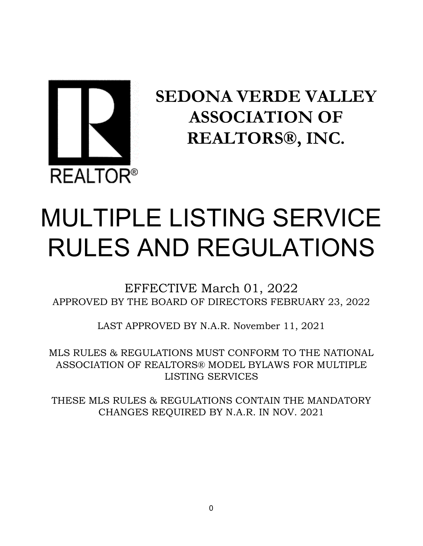

# **SEDONA VERDE VALLEY ASSOCIATION OF REALTORS®, INC.**

# MULTIPLE LISTING SERVICE RULES AND REGULATIONS

EFFECTIVE March 01, 2022 APPROVED BY THE BOARD OF DIRECTORS FEBRUARY 23, 2022

LAST APPROVED BY N.A.R. November 11, 2021

MLS RULES & REGULATIONS MUST CONFORM TO THE NATIONAL ASSOCIATION OF REALTORS® MODEL BYLAWS FOR MULTIPLE LISTING SERVICES

THESE MLS RULES & REGULATIONS CONTAIN THE MANDATORY CHANGES REQUIRED BY N.A.R. IN NOV. 2021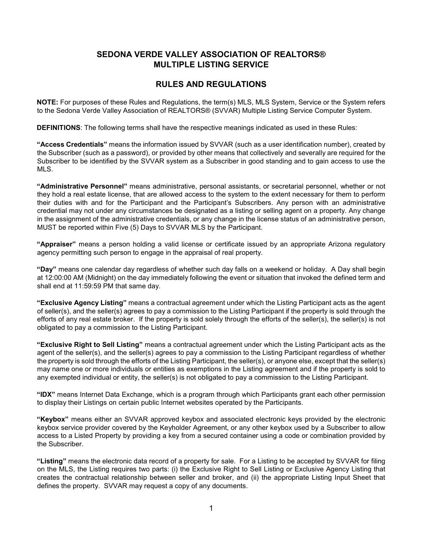# **SEDONA VERDE VALLEY ASSOCIATION OF REALTORS® MULTIPLE LISTING SERVICE**

# **RULES AND REGULATIONS**

**NOTE:** For purposes of these Rules and Regulations, the term(s) MLS, MLS System, Service or the System refers to the Sedona Verde Valley Association of REALTORS® (SVVAR) Multiple Listing Service Computer System.

**DEFINITIONS**: The following terms shall have the respective meanings indicated as used in these Rules:

**"Access Credentials"** means the information issued by SVVAR (such as a user identification number), created by the Subscriber (such as a password), or provided by other means that collectively and severally are required for the Subscriber to be identified by the SVVAR system as a Subscriber in good standing and to gain access to use the MLS.

**"Administrative Personnel"** means administrative, personal assistants, or secretarial personnel, whether or not they hold a real estate license, that are allowed access to the system to the extent necessary for them to perform their duties with and for the Participant and the Participant's Subscribers. Any person with an administrative credential may not under any circumstances be designated as a listing or selling agent on a property. Any change in the assignment of the administrative credentials, or any change in the license status of an administrative person, MUST be reported within Five (5) Days to SVVAR MLS by the Participant.

**"Appraiser"** means a person holding a valid license or certificate issued by an appropriate Arizona regulatory agency permitting such person to engage in the appraisal of real property.

**"Day"** means one calendar day regardless of whether such day falls on a weekend or holiday. A Day shall begin at 12:00:00 AM (Midnight) on the day immediately following the event or situation that invoked the defined term and shall end at 11:59:59 PM that same day.

**"Exclusive Agency Listing"** means a contractual agreement under which the Listing Participant acts as the agent of seller(s), and the seller(s) agrees to pay a commission to the Listing Participant if the property is sold through the efforts of any real estate broker. If the property is sold solely through the efforts of the seller(s), the seller(s) is not obligated to pay a commission to the Listing Participant.

**"Exclusive Right to Sell Listing"** means a contractual agreement under which the Listing Participant acts as the agent of the seller(s), and the seller(s) agrees to pay a commission to the Listing Participant regardless of whether the property is sold through the efforts of the Listing Participant, the seller(s), or anyone else, except that the seller(s) may name one or more individuals or entities as exemptions in the Listing agreement and if the property is sold to any exempted individual or entity, the seller(s) is not obligated to pay a commission to the Listing Participant.

**"IDX"** means Internet Data Exchange, which is a program through which Participants grant each other permission to display their Listings on certain public Internet websites operated by the Participants.

**"Keybox"** means either an SVVAR approved keybox and associated electronic keys provided by the electronic keybox service provider covered by the Keyholder Agreement, or any other keybox used by a Subscriber to allow access to a Listed Property by providing a key from a secured container using a code or combination provided by the Subscriber.

**"Listing"** means the electronic data record of a property for sale. For a Listing to be accepted by SVVAR for filing on the MLS, the Listing requires two parts: (i) the Exclusive Right to Sell Listing or Exclusive Agency Listing that creates the contractual relationship between seller and broker, and (ii) the appropriate Listing Input Sheet that defines the property. SVVAR may request a copy of any documents.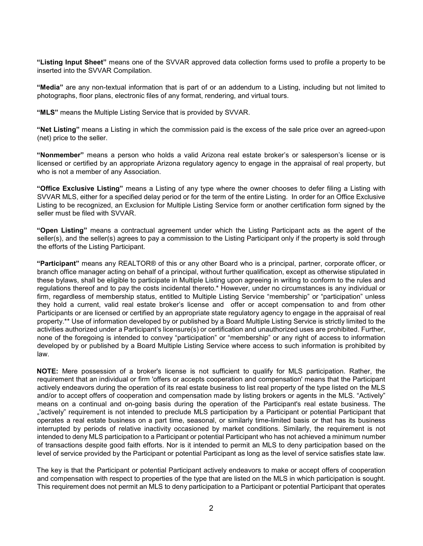**"Listing Input Sheet"** means one of the SVVAR approved data collection forms used to profile a property to be inserted into the SVVAR Compilation.

**"Media"** are any non-textual information that is part of or an addendum to a Listing, including but not limited to photographs, floor plans, electronic files of any format, rendering, and virtual tours.

**"MLS"** means the Multiple Listing Service that is provided by SVVAR.

**"Net Listing"** means a Listing in which the commission paid is the excess of the sale price over an agreed-upon (net) price to the seller.

**"Nonmember"** means a person who holds a valid Arizona real estate broker's or salesperson's license or is licensed or certified by an appropriate Arizona regulatory agency to engage in the appraisal of real property, but who is not a member of any Association.

**"Office Exclusive Listing"** means a Listing of any type where the owner chooses to defer filing a Listing with SVVAR MLS, either for a specified delay period or for the term of the entire Listing. In order for an Office Exclusive Listing to be recognized, an Exclusion for Multiple Listing Service form or another certification form signed by the seller must be filed with SVVAR.

**"Open Listing"** means a contractual agreement under which the Listing Participant acts as the agent of the seller(s), and the seller(s) agrees to pay a commission to the Listing Participant only if the property is sold through the efforts of the Listing Participant.

**"Participant"** means any REALTOR® of this or any other Board who is a principal, partner, corporate officer, or branch office manager acting on behalf of a principal, without further qualification, except as otherwise stipulated in these bylaws, shall be eligible to participate in Multiple Listing upon agreeing in writing to conform to the rules and regulations thereof and to pay the costs incidental thereto.\* However, under no circumstances is any individual or firm, regardless of membership status, entitled to Multiple Listing Service "membership" or "participation" unless they hold a current, valid real estate broker's license and offer or accept compensation to and from other Participants or are licensed or certified by an appropriate state regulatory agency to engage in the appraisal of real property.\*\* Use of information developed by or published by a Board Multiple Listing Service is strictly limited to the activities authorized under a Participant's licensure(s) or certification and unauthorized uses are prohibited. Further, none of the foregoing is intended to convey "participation" or "membership" or any right of access to information developed by or published by a Board Multiple Listing Service where access to such information is prohibited by law.

**NOTE:** Mere possession of a broker's license is not sufficient to qualify for MLS participation. Rather, the requirement that an individual or firm 'offers or accepts cooperation and compensation' means that the Participant actively endeavors during the operation of its real estate business to list real property of the type listed on the MLS and/or to accept offers of cooperation and compensation made by listing brokers or agents in the MLS. "Actively" means on a continual and on-going basis during the operation of the Participant's real estate business. The "'actively" requirement is not intended to preclude MLS participation by a Participant or potential Participant that operates a real estate business on a part time, seasonal, or similarly time-limited basis or that has its business interrupted by periods of relative inactivity occasioned by market conditions. Similarly, the requirement is not intended to deny MLS participation to a Participant or potential Participant who has not achieved a minimum number of transactions despite good faith efforts. Nor is it intended to permit an MLS to deny participation based on the level of service provided by the Participant or potential Participant as long as the level of service satisfies state law.

The key is that the Participant or potential Participant actively endeavors to make or accept offers of cooperation and compensation with respect to properties of the type that are listed on the MLS in which participation is sought. This requirement does not permit an MLS to deny participation to a Participant or potential Participant that operates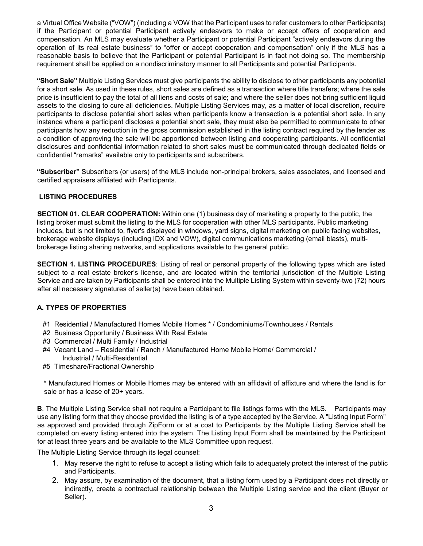a Virtual Office Website ("VOW") (including a VOW that the Participant uses to refer customers to other Participants) if the Participant or potential Participant actively endeavors to make or accept offers of cooperation and compensation. An MLS may evaluate whether a Participant or potential Participant "actively endeavors during the operation of its real estate business" to "offer or accept cooperation and compensation" only if the MLS has a reasonable basis to believe that the Participant or potential Participant is in fact not doing so. The membership requirement shall be applied on a nondiscriminatory manner to all Participants and potential Participants.

**"Short Sale"** Multiple Listing Services must give participants the ability to disclose to other participants any potential for a short sale. As used in these rules, short sales are defined as a transaction where title transfers; where the sale price is insufficient to pay the total of all liens and costs of sale; and where the seller does not bring sufficient liquid assets to the closing to cure all deficiencies. Multiple Listing Services may, as a matter of local discretion, require participants to disclose potential short sales when participants know a transaction is a potential short sale. In any instance where a participant discloses a potential short sale, they must also be permitted to communicate to other participants how any reduction in the gross commission established in the listing contract required by the lender as a condition of approving the sale will be apportioned between listing and cooperating participants. All confidential disclosures and confidential information related to short sales must be communicated through dedicated fields or confidential "remarks" available only to participants and subscribers.

**"Subscriber"** Subscribers (or users) of the MLS include non-principal brokers, sales associates, and licensed and certified appraisers affiliated with Participants.

# **LISTING PROCEDURES**

**SECTION 01. CLEAR COOPERATION:** Within one (1) business day of marketing a property to the public, the listing broker must submit the listing to the MLS for cooperation with other MLS participants. Public marketing includes, but is not limited to, flyer's displayed in windows, yard signs, digital marketing on public facing websites, brokerage website displays (including IDX and VOW), digital communications marketing (email blasts), multibrokerage listing sharing networks, and applications available to the general public.

**SECTION 1. LISTING PROCEDURES**: Listing of real or personal property of the following types which are listed subject to a real estate broker's license, and are located within the territorial jurisdiction of the Multiple Listing Service and are taken by Participants shall be entered into the Multiple Listing System within seventy-two (72) hours after all necessary signatures of seller(s) have been obtained.

# **A. TYPES OF PROPERTIES**

- #1 Residential / Manufactured Homes Mobile Homes \* / Condominiums/Townhouses / Rentals
- #2 Business Opportunity / Business With Real Estate
- #3 Commercial / Multi Family / Industrial
- #4 Vacant Land Residential / Ranch / Manufactured Home Mobile Home/ Commercial / Industrial / Multi-Residential
- #5 Timeshare/Fractional Ownership

\* Manufactured Homes or Mobile Homes may be entered with an affidavit of affixture and where the land is for sale or has a lease of 20+ years.

**B**. The Multiple Listing Service shall not require a Participant to file listings forms with the MLS. Participants may use any listing form that they choose provided the listing is of a type accepted by the Service. A "Listing Input Form" as approved and provided through ZipForm or at a cost to Participants by the Multiple Listing Service shall be completed on every listing entered into the system. The Listing Input Form shall be maintained by the Participant for at least three years and be available to the MLS Committee upon request.

The Multiple Listing Service through its legal counsel:

- 1. May reserve the right to refuse to accept a listing which fails to adequately protect the interest of the public and Participants.
- 2. May assure, by examination of the document, that a listing form used by a Participant does not directly or indirectly, create a contractual relationship between the Multiple Listing service and the client (Buyer or Seller).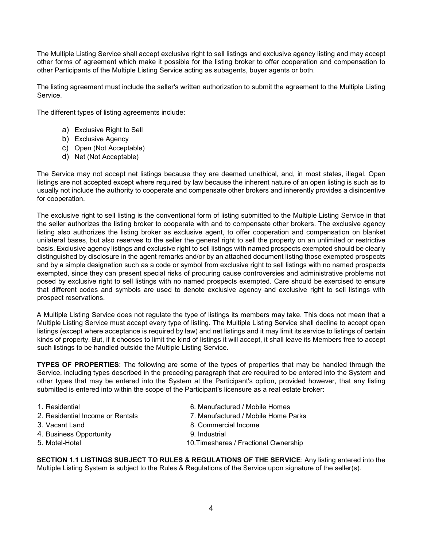The Multiple Listing Service shall accept exclusive right to sell listings and exclusive agency listing and may accept other forms of agreement which make it possible for the listing broker to offer cooperation and compensation to other Participants of the Multiple Listing Service acting as subagents, buyer agents or both.

The listing agreement must include the seller's written authorization to submit the agreement to the Multiple Listing Service.

The different types of listing agreements include:

- a) Exclusive Right to Sell
- b) Exclusive Agency
- c) Open (Not Acceptable)
- d) Net (Not Acceptable)

The Service may not accept net listings because they are deemed unethical, and, in most states, illegal. Open listings are not accepted except where required by law because the inherent nature of an open listing is such as to usually not include the authority to cooperate and compensate other brokers and inherently provides a disincentive for cooperation.

The exclusive right to sell listing is the conventional form of listing submitted to the Multiple Listing Service in that the seller authorizes the listing broker to cooperate with and to compensate other brokers. The exclusive agency listing also authorizes the listing broker as exclusive agent, to offer cooperation and compensation on blanket unilateral bases, but also reserves to the seller the general right to sell the property on an unlimited or restrictive basis. Exclusive agency listings and exclusive right to sell listings with named prospects exempted should be clearly distinguished by disclosure in the agent remarks and/or by an attached document listing those exempted prospects and by a simple designation such as a code or symbol from exclusive right to sell listings with no named prospects exempted, since they can present special risks of procuring cause controversies and administrative problems not posed by exclusive right to sell listings with no named prospects exempted. Care should be exercised to ensure that different codes and symbols are used to denote exclusive agency and exclusive right to sell listings with prospect reservations.

A Multiple Listing Service does not regulate the type of listings its members may take. This does not mean that a Multiple Listing Service must accept every type of listing. The Multiple Listing Service shall decline to accept open listings (except where acceptance is required by law) and net listings and it may limit its service to listings of certain kinds of property. But, if it chooses to limit the kind of listings it will accept, it shall leave its Members free to accept such listings to be handled outside the Multiple Listing Service.

**TYPES OF PROPERTIES**: The following are some of the types of properties that may be handled through the Service, including types described in the preceding paragraph that are required to be entered into the System and other types that may be entered into the System at the Participant's option, provided however, that any listing submitted is entered into within the scope of the Participant's licensure as a real estate broker:

- 
- 
- 
- 4. Business Opportunity 9. Industrial
- 
- 1. Residential 6. Manufactured / Mobile Homes
- 2. Residential Income or Rentals Table 7. Manufactured / Mobile Home Parks
- 3. Vacant Land 8. Commercial Income
	-
- 5. Motel-Hotel 10.Timeshares / Fractional Ownership

**SECTION 1.1 LISTINGS SUBJECT TO RULES & REGULATIONS OF THE SERVICE**: Any listing entered into the Multiple Listing System is subject to the Rules & Regulations of the Service upon signature of the seller(s).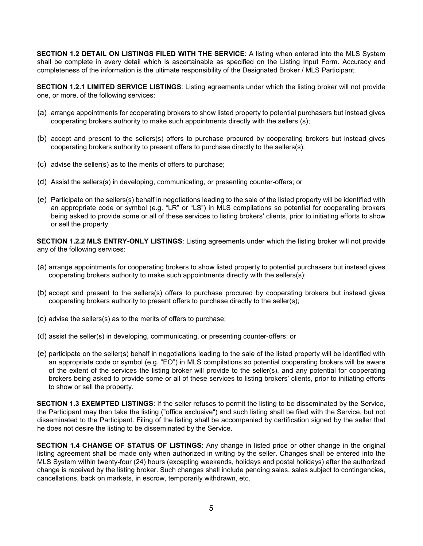**SECTION 1.2 DETAIL ON LISTINGS FILED WITH THE SERVICE**: A listing when entered into the MLS System shall be complete in every detail which is ascertainable as specified on the Listing Input Form. Accuracy and completeness of the information is the ultimate responsibility of the Designated Broker / MLS Participant.

**SECTION 1.2.1 LIMITED SERVICE LISTINGS**: Listing agreements under which the listing broker will not provide one, or more, of the following services:

- (a) arrange appointments for cooperating brokers to show listed property to potential purchasers but instead gives cooperating brokers authority to make such appointments directly with the sellers (s);
- (b) accept and present to the sellers(s) offers to purchase procured by cooperating brokers but instead gives cooperating brokers authority to present offers to purchase directly to the sellers(s);
- (c) advise the seller(s) as to the merits of offers to purchase;
- (d) Assist the sellers(s) in developing, communicating, or presenting counter-offers; or
- (e) Participate on the sellers(s) behalf in negotiations leading to the sale of the listed property will be identified with an appropriate code or symbol (e.g. "LR" or "LS") in MLS compilations so potential for cooperating brokers being asked to provide some or all of these services to listing brokers' clients, prior to initiating efforts to show or sell the property.

**SECTION 1.2.2 MLS ENTRY-ONLY LISTINGS**: Listing agreements under which the listing broker will not provide any of the following services:

- (a) arrange appointments for cooperating brokers to show listed property to potential purchasers but instead gives cooperating brokers authority to make such appointments directly with the sellers(s);
- (b) accept and present to the sellers(s) offers to purchase procured by cooperating brokers but instead gives cooperating brokers authority to present offers to purchase directly to the seller(s);
- (c) advise the sellers(s) as to the merits of offers to purchase;
- (d) assist the seller(s) in developing, communicating, or presenting counter-offers; or
- (e) participate on the seller(s) behalf in negotiations leading to the sale of the listed property will be identified with an appropriate code or symbol (e.g. "EO") in MLS compilations so potential cooperating brokers will be aware of the extent of the services the listing broker will provide to the seller(s), and any potential for cooperating brokers being asked to provide some or all of these services to listing brokers' clients, prior to initiating efforts to show or sell the property.

**SECTION 1.3 EXEMPTED LISTINGS**: If the seller refuses to permit the listing to be disseminated by the Service, the Participant may then take the listing ("office exclusive") and such listing shall be filed with the Service, but not disseminated to the Participant. Filing of the listing shall be accompanied by certification signed by the seller that he does not desire the listing to be disseminated by the Service.

**SECTION 1.4 CHANGE OF STATUS OF LISTINGS**: Any change in listed price or other change in the original listing agreement shall be made only when authorized in writing by the seller. Changes shall be entered into the MLS System within twenty-four (24) hours (excepting weekends, holidays and postal holidays) after the authorized change is received by the listing broker. Such changes shall include pending sales, sales subject to contingencies, cancellations, back on markets, in escrow, temporarily withdrawn, etc.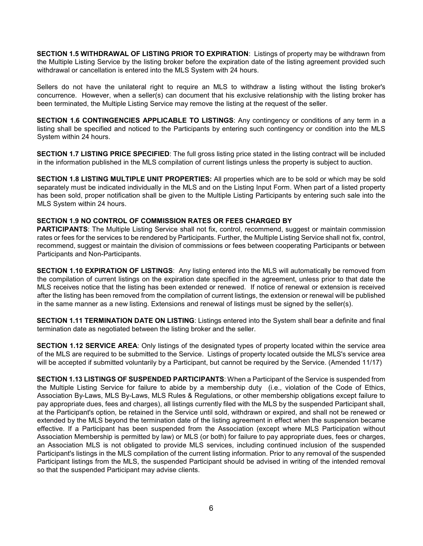**SECTION 1.5 WITHDRAWAL OF LISTING PRIOR TO EXPIRATION**: Listings of property may be withdrawn from the Multiple Listing Service by the listing broker before the expiration date of the listing agreement provided such withdrawal or cancellation is entered into the MLS System with 24 hours.

Sellers do not have the unilateral right to require an MLS to withdraw a listing without the listing broker's concurrence. However, when a seller(s) can document that his exclusive relationship with the listing broker has been terminated, the Multiple Listing Service may remove the listing at the request of the seller.

**SECTION 1.6 CONTINGENCIES APPLICABLE TO LISTINGS**: Any contingency or conditions of any term in a listing shall be specified and noticed to the Participants by entering such contingency or condition into the MLS System within 24 hours.

**SECTION 1.7 LISTING PRICE SPECIFIED**: The full gross listing price stated in the listing contract will be included in the information published in the MLS compilation of current listings unless the property is subject to auction.

**SECTION 1.8 LISTING MULTIPLE UNIT PROPERTIES:** All properties which are to be sold or which may be sold separately must be indicated individually in the MLS and on the Listing Input Form. When part of a listed property has been sold, proper notification shall be given to the Multiple Listing Participants by entering such sale into the MLS System within 24 hours.

# **SECTION 1.9 NO CONTROL OF COMMISSION RATES OR FEES CHARGED BY**

**PARTICIPANTS:** The Multiple Listing Service shall not fix, control, recommend, suggest or maintain commission rates or fees for the services to be rendered by Participants. Further, the Multiple Listing Service shall not fix, control, recommend, suggest or maintain the division of commissions or fees between cooperating Participants or between Participants and Non-Participants.

**SECTION 1.10 EXPIRATION OF LISTINGS**: Any listing entered into the MLS will automatically be removed from the compilation of current listings on the expiration date specified in the agreement, unless prior to that date the MLS receives notice that the listing has been extended or renewed. If notice of renewal or extension is received after the listing has been removed from the compilation of current listings, the extension or renewal will be published in the same manner as a new listing. Extensions and renewal of listings must be signed by the seller(s).

**SECTION 1.11 TERMINATION DATE ON LISTING**: Listings entered into the System shall bear a definite and final termination date as negotiated between the listing broker and the seller.

**SECTION 1.12 SERVICE AREA**: Only listings of the designated types of property located within the service area of the MLS are required to be submitted to the Service. Listings of property located outside the MLS's service area will be accepted if submitted voluntarily by a Participant, but cannot be required by the Service. (Amended 11/17)

**SECTION 1.13 LISTINGS OF SUSPENDED PARTICIPANTS**: When a Participant of the Service is suspended from the Multiple Listing Service for failure to abide by a membership duty (i.e., violation of the Code of Ethics, Association By-Laws, MLS By-Laws, MLS Rules & Regulations, or other membership obligations except failure to pay appropriate dues, fees and charges), all listings currently filed with the MLS by the suspended Participant shall, at the Participant's option, be retained in the Service until sold, withdrawn or expired, and shall not be renewed or extended by the MLS beyond the termination date of the listing agreement in effect when the suspension became effective. If a Participant has been suspended from the Association (except where MLS Participation without Association Membership is permitted by law) or MLS (or both) for failure to pay appropriate dues, fees or charges, an Association MLS is not obligated to provide MLS services, including continued inclusion of the suspended Participant's listings in the MLS compilation of the current listing information. Prior to any removal of the suspended Participant listings from the MLS, the suspended Participant should be advised in writing of the intended removal so that the suspended Participant may advise clients.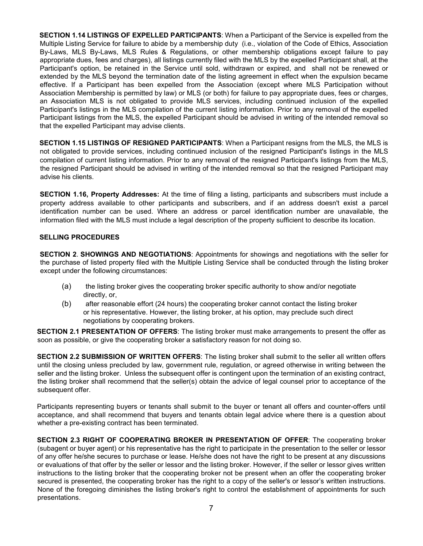**SECTION 1.14 LISTINGS OF EXPELLED PARTICIPANTS**: When a Participant of the Service is expelled from the Multiple Listing Service for failure to abide by a membership duty (i.e., violation of the Code of Ethics, Association By-Laws, MLS By-Laws, MLS Rules & Regulations, or other membership obligations except failure to pay appropriate dues, fees and charges), all listings currently filed with the MLS by the expelled Participant shall, at the Participant's option, be retained in the Service until sold, withdrawn or expired, and shall not be renewed or extended by the MLS beyond the termination date of the listing agreement in effect when the expulsion became effective. If a Participant has been expelled from the Association (except where MLS Participation without Association Membership is permitted by law) or MLS (or both) for failure to pay appropriate dues, fees or charges, an Association MLS is not obligated to provide MLS services, including continued inclusion of the expelled Participant's listings in the MLS compilation of the current listing information. Prior to any removal of the expelled Participant listings from the MLS, the expelled Participant should be advised in writing of the intended removal so that the expelled Participant may advise clients.

**SECTION 1.15 LISTINGS OF RESIGNED PARTICIPANTS**: When a Participant resigns from the MLS, the MLS is not obligated to provide services, including continued inclusion of the resigned Participant's listings in the MLS compilation of current listing information. Prior to any removal of the resigned Participant's listings from the MLS, the resigned Participant should be advised in writing of the intended removal so that the resigned Participant may advise his clients.

**SECTION 1.16, Property Addresses:** At the time of filing a listing, participants and subscribers must include a property address available to other participants and subscribers, and if an address doesn't exist a parcel identification number can be used. Where an address or parcel identification number are unavailable, the information filed with the MLS must include a legal description of the property sufficient to describe its location.

#### **SELLING PROCEDURES**

**SECTION 2**. **SHOWINGS AND NEGOTIATIONS**: Appointments for showings and negotiations with the seller for the purchase of listed property filed with the Multiple Listing Service shall be conducted through the listing broker except under the following circumstances:

- (a) the listing broker gives the cooperating broker specific authority to show and/or negotiate directly, or,
- (b) after reasonable effort (24 hours) the cooperating broker cannot contact the listing broker or his representative. However, the listing broker, at his option, may preclude such direct negotiations by cooperating brokers.

**SECTION 2.1 PRESENTATION OF OFFERS**: The listing broker must make arrangements to present the offer as soon as possible, or give the cooperating broker a satisfactory reason for not doing so.

**SECTION 2.2 SUBMISSION OF WRITTEN OFFERS**: The listing broker shall submit to the seller all written offers until the closing unless precluded by law, government rule, regulation, or agreed otherwise in writing between the seller and the listing broker. Unless the subsequent offer is contingent upon the termination of an existing contract, the listing broker shall recommend that the seller(s) obtain the advice of legal counsel prior to acceptance of the subsequent offer.

Participants representing buyers or tenants shall submit to the buyer or tenant all offers and counter-offers until acceptance, and shall recommend that buyers and tenants obtain legal advice where there is a question about whether a pre-existing contract has been terminated.

**SECTION 2.3 RIGHT OF COOPERATING BROKER IN PRESENTATION OF OFFER**: The cooperating broker (subagent or buyer agent) or his representative has the right to participate in the presentation to the seller or lessor of any offer he/she secures to purchase or lease. He/she does not have the right to be present at any discussions or evaluations of that offer by the seller or lessor and the listing broker. However, if the seller or lessor gives written instructions to the listing broker that the cooperating broker not be present when an offer the cooperating broker secured is presented, the cooperating broker has the right to a copy of the seller's or lessor's written instructions. None of the foregoing diminishes the listing broker's right to control the establishment of appointments for such presentations.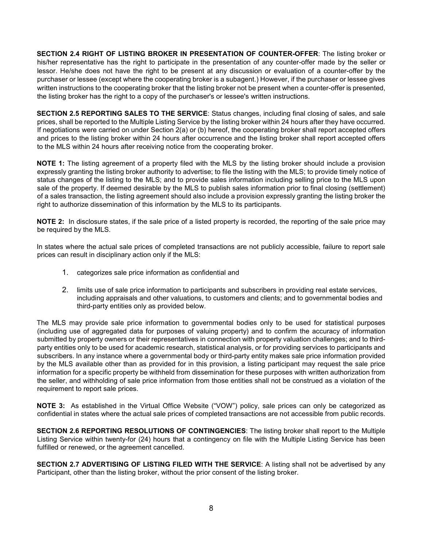**SECTION 2.4 RIGHT OF LISTING BROKER IN PRESENTATION OF COUNTER-OFFER**: The listing broker or his/her representative has the right to participate in the presentation of any counter-offer made by the seller or lessor. He/she does not have the right to be present at any discussion or evaluation of a counter-offer by the purchaser or lessee (except where the cooperating broker is a subagent.) However, if the purchaser or lessee gives written instructions to the cooperating broker that the listing broker not be present when a counter-offer is presented, the listing broker has the right to a copy of the purchaser's or lessee's written instructions.

**SECTION 2.5 REPORTING SALES TO THE SERVICE**: Status changes, including final closing of sales, and sale prices, shall be reported to the Multiple Listing Service by the listing broker within 24 hours after they have occurred. If negotiations were carried on under Section 2(a) or (b) hereof, the cooperating broker shall report accepted offers and prices to the listing broker within 24 hours after occurrence and the listing broker shall report accepted offers to the MLS within 24 hours after receiving notice from the cooperating broker.

**NOTE 1:** The listing agreement of a property filed with the MLS by the listing broker should include a provision expressly granting the listing broker authority to advertise; to file the listing with the MLS; to provide timely notice of status changes of the listing to the MLS; and to provide sales information including selling price to the MLS upon sale of the property. If deemed desirable by the MLS to publish sales information prior to final closing (settlement) of a sales transaction, the listing agreement should also include a provision expressly granting the listing broker the right to authorize dissemination of this information by the MLS to its participants.

**NOTE 2:** In disclosure states, if the sale price of a listed property is recorded, the reporting of the sale price may be required by the MLS.

In states where the actual sale prices of completed transactions are not publicly accessible, failure to report sale prices can result in disciplinary action only if the MLS:

- 1. categorizes sale price information as confidential and
- 2. limits use of sale price information to participants and subscribers in providing real estate services, including appraisals and other valuations, to customers and clients; and to governmental bodies and third-party entities only as provided below.

The MLS may provide sale price information to governmental bodies only to be used for statistical purposes (including use of aggregated data for purposes of valuing property) and to confirm the accuracy of information submitted by property owners or their representatives in connection with property valuation challenges; and to thirdparty entities only to be used for academic research, statistical analysis, or for providing services to participants and subscribers. In any instance where a governmental body or third-party entity makes sale price information provided by the MLS available other than as provided for in this provision, a listing participant may request the sale price information for a specific property be withheld from dissemination for these purposes with written authorization from the seller, and withholding of sale price information from those entities shall not be construed as a violation of the requirement to report sale prices.

**NOTE 3:** As established in the Virtual Office Website ("VOW") policy, sale prices can only be categorized as confidential in states where the actual sale prices of completed transactions are not accessible from public records.

**SECTION 2.6 REPORTING RESOLUTIONS OF CONTINGENCIES**: The listing broker shall report to the Multiple Listing Service within twenty-for (24) hours that a contingency on file with the Multiple Listing Service has been fulfilled or renewed, or the agreement cancelled.

**SECTION 2.7 ADVERTISING OF LISTING FILED WITH THE SERVICE**: A listing shall not be advertised by any Participant, other than the listing broker, without the prior consent of the listing broker.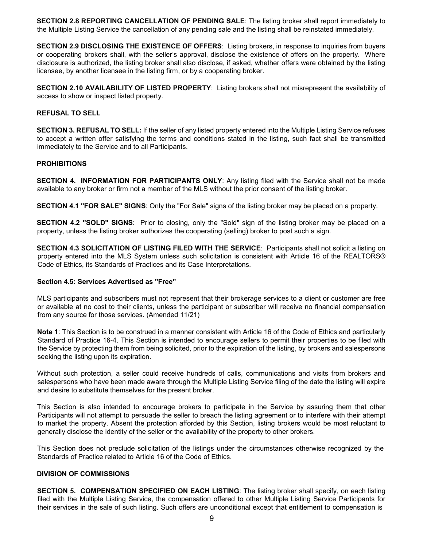**SECTION 2.8 REPORTING CANCELLATION OF PENDING SALE**: The listing broker shall report immediately to the Multiple Listing Service the cancellation of any pending sale and the listing shall be reinstated immediately.

**SECTION 2.9 DISCLOSING THE EXISTENCE OF OFFERS**: Listing brokers, in response to inquiries from buyers or cooperating brokers shall, with the seller's approval, disclose the existence of offers on the property. Where disclosure is authorized, the listing broker shall also disclose, if asked, whether offers were obtained by the listing licensee, by another licensee in the listing firm, or by a cooperating broker.

**SECTION 2.10 AVAILABILITY OF LISTED PROPERTY**: Listing brokers shall not misrepresent the availability of access to show or inspect listed property.

#### **REFUSAL TO SELL**

**SECTION 3. REFUSAL TO SELL:** If the seller of any listed property entered into the Multiple Listing Service refuses to accept a written offer satisfying the terms and conditions stated in the listing, such fact shall be transmitted immediately to the Service and to all Participants.

#### **PROHIBITIONS**

**SECTION 4. INFORMATION FOR PARTICIPANTS ONLY**: Any listing filed with the Service shall not be made available to any broker or firm not a member of the MLS without the prior consent of the listing broker.

**SECTION 4.1 "FOR SALE" SIGNS**: Only the "For Sale" signs of the listing broker may be placed on a property.

**SECTION 4.2 "SOLD" SIGNS**: Prior to closing, only the "Sold" sign of the listing broker may be placed on a property, unless the listing broker authorizes the cooperating (selling) broker to post such a sign.

**SECTION 4.3 SOLICITATION OF LISTING FILED WITH THE SERVICE**: Participants shall not solicit a listing on property entered into the MLS System unless such solicitation is consistent with Article 16 of the REALTORS® Code of Ethics, its Standards of Practices and its Case Interpretations.

#### **Section 4.5: Services Advertised as "Free"**

MLS participants and subscribers must not represent that their brokerage services to a client or customer are free or available at no cost to their clients, unless the participant or subscriber will receive no financial compensation from any source for those services. (Amended 11/21)

**Note 1**: This Section is to be construed in a manner consistent with Article 16 of the Code of Ethics and particularly Standard of Practice 16-4. This Section is intended to encourage sellers to permit their properties to be filed with the Service by protecting them from being solicited, prior to the expiration of the listing, by brokers and salespersons seeking the listing upon its expiration.

Without such protection, a seller could receive hundreds of calls, communications and visits from brokers and salespersons who have been made aware through the Multiple Listing Service filing of the date the listing will expire and desire to substitute themselves for the present broker.

This Section is also intended to encourage brokers to participate in the Service by assuring them that other Participants will not attempt to persuade the seller to breach the listing agreement or to interfere with their attempt to market the property. Absent the protection afforded by this Section, listing brokers would be most reluctant to generally disclose the identity of the seller or the availability of the property to other brokers.

This Section does not preclude solicitation of the listings under the circumstances otherwise recognized by the Standards of Practice related to Article 16 of the Code of Ethics.

#### **DIVISION OF COMMISSIONS**

**SECTION 5. COMPENSATION SPECIFIED ON EACH LISTING**: The listing broker shall specify, on each listing filed with the Multiple Listing Service, the compensation offered to other Multiple Listing Service Participants for their services in the sale of such listing. Such offers are unconditional except that entitlement to compensation is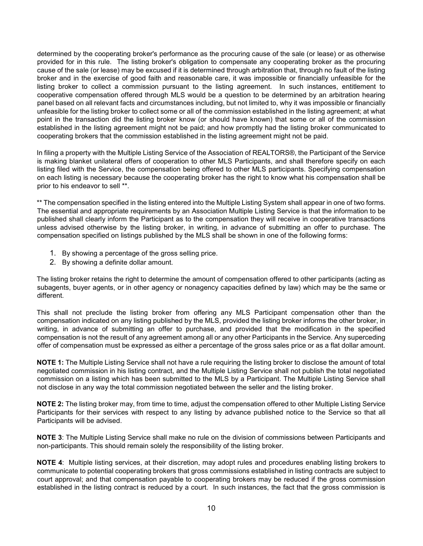determined by the cooperating broker's performance as the procuring cause of the sale (or lease) or as otherwise provided for in this rule. The listing broker's obligation to compensate any cooperating broker as the procuring cause of the sale (or lease) may be excused if it is determined through arbitration that, through no fault of the listing broker and in the exercise of good faith and reasonable care, it was impossible or financially unfeasible for the listing broker to collect a commission pursuant to the listing agreement. In such instances, entitlement to cooperative compensation offered through MLS would be a question to be determined by an arbitration hearing panel based on all relevant facts and circumstances including, but not limited to, why it was impossible or financially unfeasible for the listing broker to collect some or all of the commission established in the listing agreement; at what point in the transaction did the listing broker know (or should have known) that some or all of the commission established in the listing agreement might not be paid; and how promptly had the listing broker communicated to cooperating brokers that the commission established in the listing agreement might not be paid.

In filing a property with the Multiple Listing Service of the Association of REALTORS®, the Participant of the Service is making blanket unilateral offers of cooperation to other MLS Participants, and shall therefore specify on each listing filed with the Service, the compensation being offered to other MLS participants. Specifying compensation on each listing is necessary because the cooperating broker has the right to know what his compensation shall be prior to his endeavor to sell \*\*.

\*\* The compensation specified in the listing entered into the Multiple Listing System shall appear in one of two forms. The essential and appropriate requirements by an Association Multiple Listing Service is that the information to be published shall clearly inform the Participant as to the compensation they will receive in cooperative transactions unless advised otherwise by the listing broker, in writing, in advance of submitting an offer to purchase. The compensation specified on listings published by the MLS shall be shown in one of the following forms:

- 1. By showing a percentage of the gross selling price.
- 2. By showing a definite dollar amount.

The listing broker retains the right to determine the amount of compensation offered to other participants (acting as subagents, buyer agents, or in other agency or nonagency capacities defined by law) which may be the same or different.

This shall not preclude the listing broker from offering any MLS Participant compensation other than the compensation indicated on any listing published by the MLS, provided the listing broker informs the other broker, in writing, in advance of submitting an offer to purchase, and provided that the modification in the specified compensation is not the result of any agreement among all or any other Participants in the Service. Any superceding offer of compensation must be expressed as either a percentage of the gross sales price or as a flat dollar amount.

**NOTE 1:** The Multiple Listing Service shall not have a rule requiring the listing broker to disclose the amount of total negotiated commission in his listing contract, and the Multiple Listing Service shall not publish the total negotiated commission on a listing which has been submitted to the MLS by a Participant. The Multiple Listing Service shall not disclose in any way the total commission negotiated between the seller and the listing broker.

**NOTE 2:** The listing broker may, from time to time, adjust the compensation offered to other Multiple Listing Service Participants for their services with respect to any listing by advance published notice to the Service so that all Participants will be advised.

**NOTE 3**: The Multiple Listing Service shall make no rule on the division of commissions between Participants and non-participants. This should remain solely the responsibility of the listing broker.

**NOTE 4**: Multiple listing services, at their discretion, may adopt rules and procedures enabling listing brokers to communicate to potential cooperating brokers that gross commissions established in listing contracts are subject to court approval; and that compensation payable to cooperating brokers may be reduced if the gross commission established in the listing contract is reduced by a court. In such instances, the fact that the gross commission is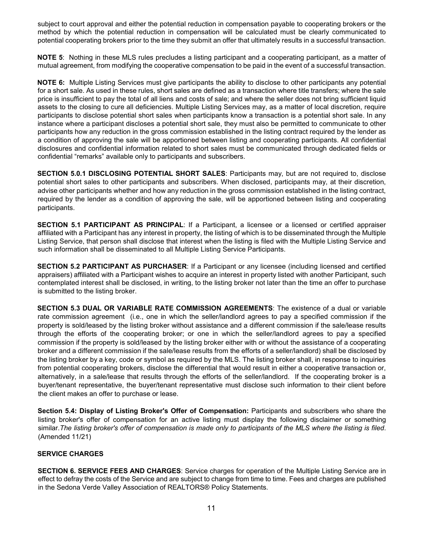subject to court approval and either the potential reduction in compensation payable to cooperating brokers or the method by which the potential reduction in compensation will be calculated must be clearly communicated to potential cooperating brokers prior to the time they submit an offer that ultimately results in a successful transaction.

**NOTE 5**: Nothing in these MLS rules precludes a listing participant and a cooperating participant, as a matter of mutual agreement, from modifying the cooperative compensation to be paid in the event of a successful transaction.

**NOTE 6:** Multiple Listing Services must give participants the ability to disclose to other participants any potential for a short sale. As used in these rules, short sales are defined as a transaction where title transfers; where the sale price is insufficient to pay the total of all liens and costs of sale; and where the seller does not bring sufficient liquid assets to the closing to cure all deficiencies. Multiple Listing Services may, as a matter of local discretion, require participants to disclose potential short sales when participants know a transaction is a potential short sale. In any instance where a participant discloses a potential short sale, they must also be permitted to communicate to other participants how any reduction in the gross commission established in the listing contract required by the lender as a condition of approving the sale will be apportioned between listing and cooperating participants. All confidential disclosures and confidential information related to short sales must be communicated through dedicated fields or confidential "remarks" available only to participants and subscribers.

**SECTION 5.0.1 DISCLOSING POTENTIAL SHORT SALES**: Participants may, but are not required to, disclose potential short sales to other participants and subscribers. When disclosed, participants may, at their discretion, advise other participants whether and how any reduction in the gross commission established in the listing contract, required by the lender as a condition of approving the sale, will be apportioned between listing and cooperating participants.

**SECTION 5.1 PARTICIPANT AS PRINCIPAL**: If a Participant, a licensee or a licensed or certified appraiser affiliated with a Participant has any interest in property, the listing of which is to be disseminated through the Multiple Listing Service, that person shall disclose that interest when the listing is filed with the Multiple Listing Service and such information shall be disseminated to all Multiple Listing Service Participants.

**SECTION 5.2 PARTICIPANT AS PURCHASER**: If a Participant or any licensee (including licensed and certified appraisers) affiliated with a Participant wishes to acquire an interest in property listed with another Participant, such contemplated interest shall be disclosed, in writing, to the listing broker not later than the time an offer to purchase is submitted to the listing broker.

**SECTION 5.3 DUAL OR VARIABLE RATE COMMISSION AGREEMENTS**: The existence of a dual or variable rate commission agreement (i.e., one in which the seller/landlord agrees to pay a specified commission if the property is sold/leased by the listing broker without assistance and a different commission if the sale/lease results through the efforts of the cooperating broker; or one in which the seller/landlord agrees to pay a specified commission if the property is sold/leased by the listing broker either with or without the assistance of a cooperating broker and a different commission if the sale/lease results from the efforts of a seller/landlord) shall be disclosed by the listing broker by a key, code or symbol as required by the MLS. The listing broker shall, in response to inquiries from potential cooperating brokers, disclose the differential that would result in either a cooperative transaction or, alternatively, in a sale/lease that results through the efforts of the seller/landlord. If the cooperating broker is a buyer/tenant representative, the buyer/tenant representative must disclose such information to their client before the client makes an offer to purchase or lease.

**Section 5.4: Display of Listing Broker's Offer of Compensation:** Participants and subscribers who share the listing broker's offer of compensation for an active listing must display the following disclaimer or something similar.*The listing broker's offer of compensation is made only to participants of the MLS where the listing is filed*. (Amended 11/21)

# **SERVICE CHARGES**

**SECTION 6. SERVICE FEES AND CHARGES**: Service charges for operation of the Multiple Listing Service are in effect to defray the costs of the Service and are subject to change from time to time. Fees and charges are published in the Sedona Verde Valley Association of REALTORS® Policy Statements.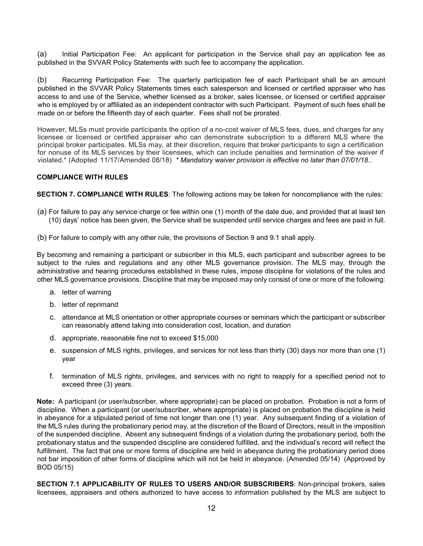(a) Initial Participation Fee: An applicant for participation in the Service shall pay an application fee as published in the SVVAR Policy Statements with such fee to accompany the application.

(b) Recurring Participation Fee: The quarterly participation fee of each Participant shall be an amount published in the SVVAR Policy Statements times each salesperson and licensed or certified appraiser who has access to and use of the Service, whether licensed as a broker, sales licensee, or licensed or certified appraiser who is employed by or affiliated as an independent contractor with such Participant. Payment of such fees shall be made on or before the fifteenth day of each quarter. Fees shall not be prorated.

However, MLSs must provide participants the option of a no-cost waiver of MLS fees, dues, and charges for any licensee or licensed or certified appraiser who can demonstrate subscription to a different MLS where the principal broker participates. MLSs may, at their discretion, require that broker participants to sign a certification for nonuse of its MLS services by their licensees, which can include penalties and termination of the waiver if violated.\* (Adopted 11/17/Amended 08/18) *\* Mandatory waiver provision is effective no later than 07/01/18..* 

#### **COMPLIANCE WITH RULES**

**SECTION 7. COMPLIANCE WITH RULES**: The following actions may be taken for noncompliance with the rules:

(a) For failure to pay any service charge or fee within one (1) month of the date due, and provided that at least ten (10) days' notice has been given, the Service shall be suspended until service charges and fees are paid in full.

(b) For failure to comply with any other rule, the provisions of Section 9 and 9.1 shall apply.

By becoming and remaining a participant or subscriber in this MLS, each participant and subscriber agrees to be subject to the rules and regulations and any other MLS governance provision. The MLS may, through the administrative and hearing procedures established in these rules, impose discipline for violations of the rules and other MLS governance provisions. Discipline that may be imposed may only consist of one or more of the following:

- a. letter of warning
- b. letter of reprimand
- c. attendance at MLS orientation or other appropriate courses or seminars which the participant or subscriber can reasonably attend taking into consideration cost, location, and duration
- d. appropriate, reasonable fine not to exceed \$15,000
- e. suspension of MLS rights, privileges, and services for not less than thirty (30) days nor more than one (1) year
- f. termination of MLS rights, privileges, and services with no right to reapply for a specified period not to exceed three (3) years.

**Note:** A participant (or user/subscriber, where appropriate) can be placed on probation. Probation is not a form of discipline. When a participant (or user/subscriber, where appropriate) is placed on probation the discipline is held in abeyance for a stipulated period of time not longer than one (1) year. Any subsequent finding of a violation of the MLS rules during the probationary period may, at the discretion of the Board of Directors, result in the imposition of the suspended discipline. Absent any subsequent findings of a violation during the probationary period, both the probationary status and the suspended discipline are considered fulfilled, and the individual's record will reflect the fulfillment. The fact that one or more forms of discipline are held in abeyance during the probationary period does not bar imposition of other forms of discipline which will not be held in abeyance. (Amended 05/14) (Approved by BOD 05/15)

**SECTION 7.1 APPLICABILITY OF RULES TO USERS AND/OR SUBSCRIBERS**: Non-principal brokers, sales licensees, appraisers and others authorized to have access to information published by the MLS are subject to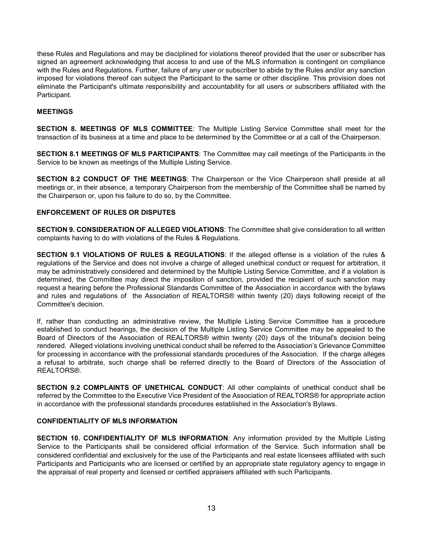these Rules and Regulations and may be disciplined for violations thereof provided that the user or subscriber has signed an agreement acknowledging that access to and use of the MLS information is contingent on compliance with the Rules and Regulations. Further, failure of any user or subscriber to abide by the Rules and/or any sanction imposed for violations thereof can subject the Participant to the same or other discipline. This provision does not eliminate the Participant's ultimate responsibility and accountability for all users or subscribers affiliated with the Participant.

# **MEETINGS**

**SECTION 8. MEETINGS OF MLS COMMITTEE**: The Multiple Listing Service Committee shall meet for the transaction of its business at a time and place to be determined by the Committee or at a call of the Chairperson.

**SECTION 8.1 MEETINGS OF MLS PARTICIPANTS**: The Committee may call meetings of the Participants in the Service to be known as meetings of the Multiple Listing Service.

**SECTION 8.2 CONDUCT OF THE MEETINGS**: The Chairperson or the Vice Chairperson shall preside at all meetings or, in their absence, a temporary Chairperson from the membership of the Committee shall be named by the Chairperson or, upon his failure to do so, by the Committee.

#### **ENFORCEMENT OF RULES OR DISPUTES**

**SECTION 9. CONSIDERATION OF ALLEGED VIOLATIONS**: The Committee shall give consideration to all written complaints having to do with violations of the Rules & Regulations.

**SECTION 9.1 VIOLATIONS OF RULES & REGULATIONS**: If the alleged offense is a violation of the rules & regulations of the Service and does not involve a charge of alleged unethical conduct or request for arbitration, it may be administratively considered and determined by the Multiple Listing Service Committee, and if a violation is determined, the Committee may direct the imposition of sanction, provided the recipient of such sanction may request a hearing before the Professional Standards Committee of the Association in accordance with the bylaws and rules and regulations of the Association of REALTORS® within twenty (20) days following receipt of the Committee's decision.

If, rather than conducting an administrative review, the Multiple Listing Service Committee has a procedure established to conduct hearings, the decision of the Multiple Listing Service Committee may be appealed to the Board of Directors of the Association of REALTORS® within twenty (20) days of the tribunal's decision being rendered. Alleged violations involving unethical conduct shall be referred to the Association's Grievance Committee for processing in accordance with the professional standards procedures of the Association. If the charge alleges a refusal to arbitrate, such charge shall be referred directly to the Board of Directors of the Association of REALTORS®.

**SECTION 9.2 COMPLAINTS OF UNETHICAL CONDUCT**: All other complaints of unethical conduct shall be referred by the Committee to the Executive Vice President of the Association of REALTORS® for appropriate action in accordance with the professional standards procedures established in the Association's Bylaws.

# **CONFIDENTIALITY OF MLS INFORMATION**

**SECTION 10. CONFIDENTIALITY OF MLS INFORMATION**: Any information provided by the Multiple Listing Service to the Participants shall be considered official information of the Service. Such information shall be considered confidential and exclusively for the use of the Participants and real estate licensees affiliated with such Participants and Participants who are licensed or certified by an appropriate state regulatory agency to engage in the appraisal of real property and licensed or certified appraisers affiliated with such Participants.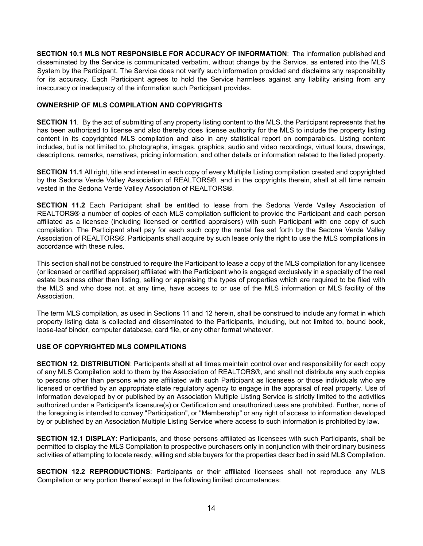**SECTION 10.1 MLS NOT RESPONSIBLE FOR ACCURACY OF INFORMATION**: The information published and disseminated by the Service is communicated verbatim, without change by the Service, as entered into the MLS System by the Participant. The Service does not verify such information provided and disclaims any responsibility for its accuracy. Each Participant agrees to hold the Service harmless against any liability arising from any inaccuracy or inadequacy of the information such Participant provides.

#### **OWNERSHIP OF MLS COMPILATION AND COPYRIGHTS**

**SECTION 11.** By the act of submitting of any property listing content to the MLS, the Participant represents that he has been authorized to license and also thereby does license authority for the MLS to include the property listing content in its copyrighted MLS compilation and also in any statistical report on comparables. Listing content includes, but is not limited to, photographs, images, graphics, audio and video recordings, virtual tours, drawings, descriptions, remarks, narratives, pricing information, and other details or information related to the listed property.

**SECTION 11.1** All right, title and interest in each copy of every Multiple Listing compilation created and copyrighted by the Sedona Verde Valley Association of REALTORS®, and in the copyrights therein, shall at all time remain vested in the Sedona Verde Valley Association of REALTORS®.

**SECTION 11.2** Each Participant shall be entitled to lease from the Sedona Verde Valley Association of REALTORS® a number of copies of each MLS compilation sufficient to provide the Participant and each person affiliated as a licensee (including licensed or certified appraisers) with such Participant with one copy of such compilation. The Participant shall pay for each such copy the rental fee set forth by the Sedona Verde Valley Association of REALTORS®. Participants shall acquire by such lease only the right to use the MLS compilations in accordance with these rules.

This section shall not be construed to require the Participant to lease a copy of the MLS compilation for any licensee (or licensed or certified appraiser) affiliated with the Participant who is engaged exclusively in a specialty of the real estate business other than listing, selling or appraising the types of properties which are required to be filed with the MLS and who does not, at any time, have access to or use of the MLS information or MLS facility of the Association.

The term MLS compilation, as used in Sections 11 and 12 herein, shall be construed to include any format in which property listing data is collected and disseminated to the Participants, including, but not limited to, bound book, loose-leaf binder, computer database, card file, or any other format whatever.

# **USE OF COPYRIGHTED MLS COMPILATIONS**

**SECTION 12. DISTRIBUTION**: Participants shall at all times maintain control over and responsibility for each copy of any MLS Compilation sold to them by the Association of REALTORS®, and shall not distribute any such copies to persons other than persons who are affiliated with such Participant as licensees or those individuals who are licensed or certified by an appropriate state regulatory agency to engage in the appraisal of real property. Use of information developed by or published by an Association Multiple Listing Service is strictly limited to the activities authorized under a Participant's licensure(s) or Certification and unauthorized uses are prohibited. Further, none of the foregoing is intended to convey "Participation", or "Membership" or any right of access to information developed by or published by an Association Multiple Listing Service where access to such information is prohibited by law.

**SECTION 12.1 DISPLAY**: Participants, and those persons affiliated as licensees with such Participants, shall be permitted to display the MLS Compilation to prospective purchasers only in conjunction with their ordinary business activities of attempting to locate ready, willing and able buyers for the properties described in said MLS Compilation.

**SECTION 12.2 REPRODUCTIONS**: Participants or their affiliated licensees shall not reproduce any MLS Compilation or any portion thereof except in the following limited circumstances: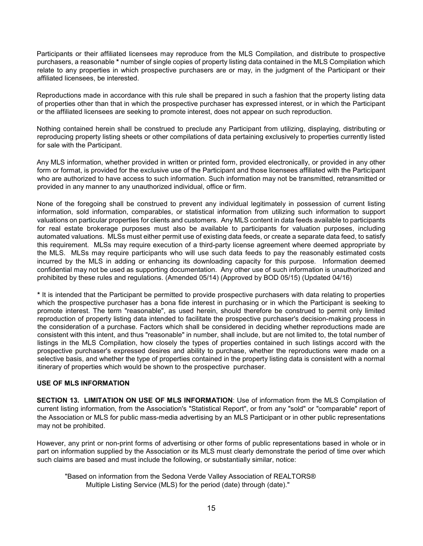Participants or their affiliated licensees may reproduce from the MLS Compilation, and distribute to prospective purchasers, a reasonable **\*** number of single copies of property listing data contained in the MLS Compilation which relate to any properties in which prospective purchasers are or may, in the judgment of the Participant or their affiliated licensees, be interested.

Reproductions made in accordance with this rule shall be prepared in such a fashion that the property listing data of properties other than that in which the prospective purchaser has expressed interest, or in which the Participant or the affiliated licensees are seeking to promote interest, does not appear on such reproduction.

Nothing contained herein shall be construed to preclude any Participant from utilizing, displaying, distributing or reproducing property listing sheets or other compilations of data pertaining exclusively to properties currently listed for sale with the Participant.

Any MLS information, whether provided in written or printed form, provided electronically, or provided in any other form or format, is provided for the exclusive use of the Participant and those licensees affiliated with the Participant who are authorized to have access to such information. Such information may not be transmitted, retransmitted or provided in any manner to any unauthorized individual, office or firm.

None of the foregoing shall be construed to prevent any individual legitimately in possession of current listing information, sold information, comparables, or statistical information from utilizing such information to support valuations on particular properties for clients and customers. Any MLS content in data feeds available to participants for real estate brokerage purposes must also be available to participants for valuation purposes, including automated valuations. MLSs must either permit use of existing data feeds, or create a separate data feed, to satisfy this requirement. MLSs may require execution of a third-party license agreement where deemed appropriate by the MLS. MLSs may require participants who will use such data feeds to pay the reasonably estimated costs incurred by the MLS in adding or enhancing its downloading capacity for this purpose. Information deemed confidential may not be used as supporting documentation. Any other use of such information is unauthorized and prohibited by these rules and regulations. (Amended 05/14) (Approved by BOD 05/15) (Updated 04/16)

**\*** It is intended that the Participant be permitted to provide prospective purchasers with data relating to properties which the prospective purchaser has a bona fide interest in purchasing or in which the Participant is seeking to promote interest. The term "reasonable", as used herein, should therefore be construed to permit only limited reproduction of property listing data intended to facilitate the prospective purchaser's decision-making process in the consideration of a purchase. Factors which shall be considered in deciding whether reproductions made are consistent with this intent, and thus "reasonable" in number, shall include, but are not limited to, the total number of listings in the MLS Compilation, how closely the types of properties contained in such listings accord with the prospective purchaser's expressed desires and ability to purchase, whether the reproductions were made on a selective basis, and whether the type of properties contained in the property listing data is consistent with a normal itinerary of properties which would be shown to the prospective purchaser.

#### **USE OF MLS INFORMATION**

**SECTION 13. LIMITATION ON USE OF MLS INFORMATION**: Use of information from the MLS Compilation of current listing information, from the Association's "Statistical Report", or from any "sold" or "comparable" report of the Association or MLS for public mass-media advertising by an MLS Participant or in other public representations may not be prohibited.

However, any print or non-print forms of advertising or other forms of public representations based in whole or in part on information supplied by the Association or its MLS must clearly demonstrate the period of time over which such claims are based and must include the following, or substantially similar, notice:

"Based on information from the Sedona Verde Valley Association of REALTORS® Multiple Listing Service (MLS) for the period (date) through (date)."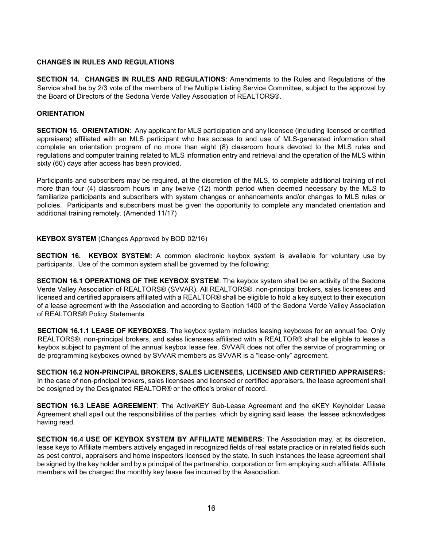#### **CHANGES IN RULES AND REGULATIONS**

**SECTION 14. CHANGES IN RULES AND REGULATIONS**: Amendments to the Rules and Regulations of the Service shall be by 2/3 vote of the members of the Multiple Listing Service Committee, subject to the approval by the Board of Directors of the Sedona Verde Valley Association of REALTORS®.

#### **ORIENTATION**

**SECTION 15. ORIENTATION**: Any applicant for MLS participation and any licensee (including licensed or certified appraisers) affiliated with an MLS participant who has access to and use of MLS-generated information shall complete an orientation program of no more than eight (8) classroom hours devoted to the MLS rules and regulations and computer training related to MLS information entry and retrieval and the operation of the MLS within sixty (60) days after access has been provided.

Participants and subscribers may be required, at the discretion of the MLS, to complete additional training of not more than four (4) classroom hours in any twelve (12) month period when deemed necessary by the MLS to familiarize participants and subscribers with system changes or enhancements and/or changes to MLS rules or policies. Participants and subscribers must be given the opportunity to complete any mandated orientation and additional training remotely. (Amended 11/17)

#### **KEYBOX SYSTEM** (Changes Approved by BOD 02/16)

**SECTION 16. KEYBOX SYSTEM:** A common electronic keybox system is available for voluntary use by participants. Use of the common system shall be governed by the following:

**SECTION 16.1 OPERATIONS OF THE KEYBOX SYSTEM**: The keybox system shall be an activity of the Sedona Verde Valley Association of REALTORS® (SVVAR). All REALTORS®, non-principal brokers, sales licensees and licensed and certified appraisers affiliated with a REALTOR® shall be eligible to hold a key subject to their execution of a lease agreement with the Association and according to Section 1400 of the Sedona Verde Valley Association of REALTORS® Policy Statements.

**SECTION 16.1.1 LEASE OF KEYBOXES**. The keybox system includes leasing keyboxes for an annual fee. Only REALTORS®, non-principal brokers, and sales licensees affiliated with a REALTOR® shall be eligible to lease a keybox subject to payment of the annual keybox lease fee. SVVAR does not offer the service of programming or de-programming keyboxes owned by SVVAR members as SVVAR is a "lease-only" agreement.

**SECTION 16.2 NON-PRINCIPAL BROKERS, SALES LICENSEES, LICENSED AND CERTIFIED APPRAISERS:** In the case of non-principal brokers, sales licensees and licensed or certified appraisers, the lease agreement shall be cosigned by the Designated REALTOR® or the office's broker of record.

**SECTION 16.3 LEASE AGREEMENT**: The ActiveKEY Sub-Lease Agreement and the eKEY Keyholder Lease Agreement shall spell out the responsibilities of the parties, which by signing said lease, the lessee acknowledges having read.

**SECTION 16.4 USE OF KEYBOX SYSTEM BY AFFILIATE MEMBERS**: The Association may, at its discretion, lease keys to Affiliate members actively engaged in recognized fields of real estate practice or in related fields such as pest control, appraisers and home inspectors licensed by the state. In such instances the lease agreement shall be signed by the key holder and by a principal of the partnership, corporation or firm employing such affiliate. Affiliate members will be charged the monthly key lease fee incurred by the Association.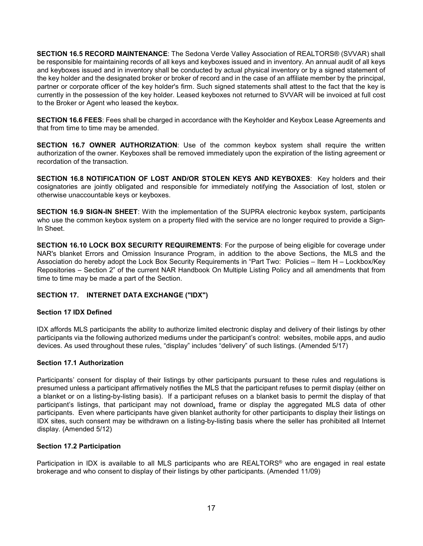**SECTION 16.5 RECORD MAINTENANCE**: The Sedona Verde Valley Association of REALTORS® (SVVAR) shall be responsible for maintaining records of all keys and keyboxes issued and in inventory. An annual audit of all keys and keyboxes issued and in inventory shall be conducted by actual physical inventory or by a signed statement of the key holder and the designated broker or broker of record and in the case of an affiliate member by the principal, partner or corporate officer of the key holder's firm. Such signed statements shall attest to the fact that the key is currently in the possession of the key holder. Leased keyboxes not returned to SVVAR will be invoiced at full cost to the Broker or Agent who leased the keybox.

**SECTION 16.6 FEES**: Fees shall be charged in accordance with the Keyholder and Keybox Lease Agreements and that from time to time may be amended.

**SECTION 16.7 OWNER AUTHORIZATION**: Use of the common keybox system shall require the written authorization of the owner. Keyboxes shall be removed immediately upon the expiration of the listing agreement or recordation of the transaction.

**SECTION 16.8 NOTIFICATION OF LOST AND/OR STOLEN KEYS AND KEYBOXES**: Key holders and their cosignatories are jointly obligated and responsible for immediately notifying the Association of lost, stolen or otherwise unaccountable keys or keyboxes.

**SECTION 16.9 SIGN-IN SHEET**: With the implementation of the SUPRA electronic keybox system, participants who use the common keybox system on a property filed with the service are no longer required to provide a Sign-In Sheet.

**SECTION 16.10 LOCK BOX SECURITY REQUIREMENTS**: For the purpose of being eligible for coverage under NAR's blanket Errors and Omission Insurance Program, in addition to the above Sections, the MLS and the Association do hereby adopt the Lock Box Security Requirements in "Part Two: Policies – Item H – Lockbox/Key Repositories – Section 2" of the current NAR Handbook On Multiple Listing Policy and all amendments that from time to time may be made a part of the Section.

# **SECTION 17. INTERNET DATA EXCHANGE ("IDX")**

# **Section 17 IDX Defined**

IDX affords MLS participants the ability to authorize limited electronic display and delivery of their listings by other participants via the following authorized mediums under the participant's control: websites, mobile apps, and audio devices. As used throughout these rules, "display" includes "delivery" of such listings. (Amended 5/17)

# **Section 17.1 Authorization**

Participants' consent for display of their listings by other participants pursuant to these rules and regulations is presumed unless a participant affirmatively notifies the MLS that the participant refuses to permit display (either on a blanket or on a listing-by-listing basis). If a participant refuses on a blanket basis to permit the display of that participant's listings, that participant may not download, frame or display the aggregated MLS data of other participants. Even where participants have given blanket authority for other participants to display their listings on IDX sites, such consent may be withdrawn on a listing-by-listing basis where the seller has prohibited all Internet display. (Amended 5/12)

# **Section 17.2 Participation**

Participation in IDX is available to all MLS participants who are REALTORS<sup>®</sup> who are engaged in real estate brokerage and who consent to display of their listings by other participants. (Amended 11/09)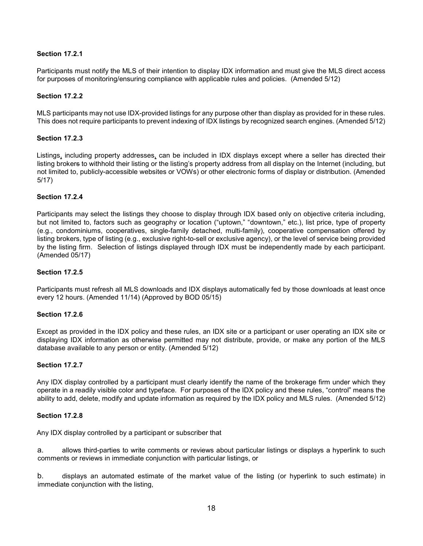# **Section 17.2.1**

Participants must notify the MLS of their intention to display IDX information and must give the MLS direct access for purposes of monitoring/ensuring compliance with applicable rules and policies. (Amended 5/12)

# **Section 17.2.2**

MLS participants may not use IDX-provided listings for any purpose other than display as provided for in these rules. This does not require participants to prevent indexing of IDX listings by recognized search engines. (Amended 5/12)

# **Section 17.2.3**

Listings, including property addresses, can be included in IDX displays except where a seller has directed their listing brokers to withhold their listing or the listing's property address from all display on the Internet (including, but not limited to, publicly-accessible websites or VOWs) or other electronic forms of display or distribution. (Amended 5/17)

# **Section 17.2.4**

Participants may select the listings they choose to display through IDX based only on objective criteria including, but not limited to, factors such as geography or location ("uptown," "downtown," etc.), list price, type of property (e.g., condominiums, cooperatives, single-family detached, multi-family), cooperative compensation offered by listing brokers, type of listing (e.g., exclusive right-to-sell or exclusive agency), or the level of service being provided by the listing firm. Selection of listings displayed through IDX must be independently made by each participant. (Amended 05/17)

# **Section 17.2.5**

Participants must refresh all MLS downloads and IDX displays automatically fed by those downloads at least once every 12 hours. (Amended 11/14) (Approved by BOD 05/15)

# **Section 17.2.6**

Except as provided in the IDX policy and these rules, an IDX site or a participant or user operating an IDX site or displaying IDX information as otherwise permitted may not distribute, provide, or make any portion of the MLS database available to any person or entity. (Amended 5/12)

# **Section 17.2.7**

Any IDX display controlled by a participant must clearly identify the name of the brokerage firm under which they operate in a readily visible color and typeface. For purposes of the IDX policy and these rules, "control" means the ability to add, delete, modify and update information as required by the IDX policy and MLS rules. (Amended 5/12)

# **Section 17.2.8**

Any IDX display controlled by a participant or subscriber that

a. allows third-parties to write comments or reviews about particular listings or displays a hyperlink to such comments or reviews in immediate conjunction with particular listings, or

b. displays an automated estimate of the market value of the listing (or hyperlink to such estimate) in immediate conjunction with the listing,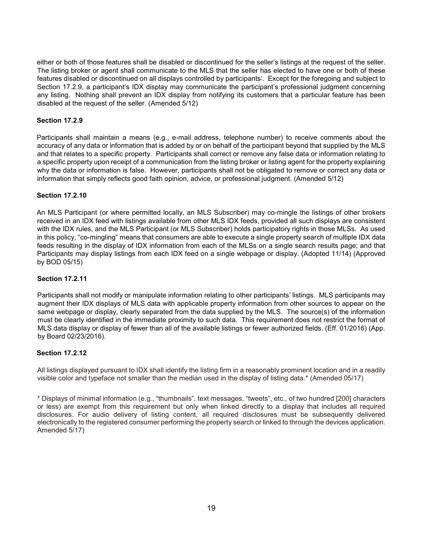either or both of those features shall be disabled or discontinued for the seller's listings at the request of the seller. The listing broker or agent shall communicate to the MLS that the seller has elected to have one or both of these features disabled or discontinued on all displays controlled by participants'. Except for the foregoing and subject to Section 17.2.9, a participant's IDX display may communicate the participant's professional judgment concerning any listing. Nothing shall prevent an IDX display from notifying its customers that a particular feature has been disabled at the request of the seller. (Amended 5/12)

# **Section 17.2.9**

Participants shall maintain a means (e.g., e-mail address, telephone number) to receive comments about the accuracy of any data or information that is added by or on behalf of the participant beyond that supplied by the MLS and that relates to a specific property. Participants shall correct or remove any false data or information relating to a specific property upon receipt of a communication from the listing broker or listing agent for the property explaining why the data or information is false. However, participants shall not be obligated to remove or correct any data or information that simply reflects good faith opinion, advice, or professional judgment. (Amended 5/12)

# **Section 17.2.10**

An MLS Participant (or where permitted locally, an MLS Subscriber) may co-mingle the listings of other brokers received in an IDX feed with listings available from other MLS IDX feeds, provided all such displays are consistent with the IDX rules, and the MLS Participant (or MLS Subscriber) holds participatory rights in those MLSs. As used in this policy, "co-mingling" means that consumers are able to execute a single property search of multiple IDX data feeds resulting in the display of IDX information from each of the MLSs on a single search results page; and that Participants may display listings from each IDX feed on a single webpage or display. (Adopted 11/14) (Approved by BOD 05/15)

# **Section 17.2.11**

Participants shall not modify or manipulate information relating to other participants' listings. MLS participants may augment their IDX displays of MLS data with applicable property information from other sources to appear on the same webpage or display, clearly separated from the data supplied by the MLS. The source(s) of the information must be clearly identified in the immediate proximity to such data. This requirement does not restrict the format of MLS data display or display of fewer than all of the available listings or fewer authorized fields. (Eff. 01/2016) (App. by Board 02/23/2016).

# **Section 17.2.12**

All listings displayed pursuant to IDX shall identify the listing firm in a reasonably prominent location and in a readily visible color and typeface not smaller than the median used in the display of listing data.\* (Amended 05/17)

\* Displays of minimal information (e.g., "thumbnails", text messages, "tweets", etc., of two hundred [200] characters or less) are exempt from this requirement but only when linked directly to a display that includes all required disclosures. For audio delivery of listing content, all required disclosures must be subsequently delivered electronically to the registered consumer performing the property search or linked to through the devices application. Amended 5/17)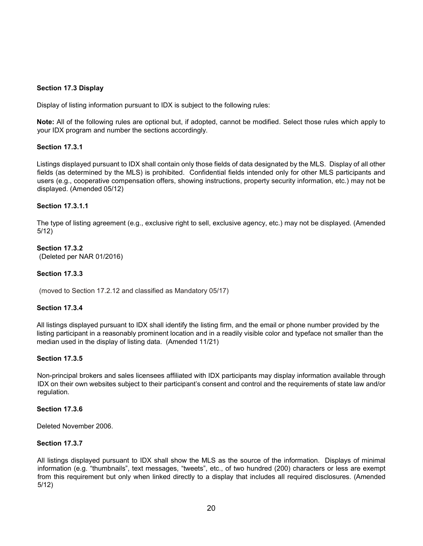#### **Section 17.3 Display**

Display of listing information pursuant to IDX is subject to the following rules:

**Note:** All of the following rules are optional but, if adopted, cannot be modified. Select those rules which apply to your IDX program and number the sections accordingly.

#### **Section 17.3.1**

Listings displayed pursuant to IDX shall contain only those fields of data designated by the MLS. Display of all other fields (as determined by the MLS) is prohibited. Confidential fields intended only for other MLS participants and users (e.g., cooperative compensation offers, showing instructions, property security information, etc.) may not be displayed. (Amended 05/12)

#### **Section 17.3.1.1**

The type of listing agreement (e.g., exclusive right to sell, exclusive agency, etc.) may not be displayed. (Amended 5/12)

#### **Section 17.3.2**  (Deleted per NAR 01/2016)

#### **Section 17.3.3**

(moved to Section 17.2.12 and classified as Mandatory 05/17)

#### **Section 17.3.4**

All listings displayed pursuant to IDX shall identify the listing firm, and the email or phone number provided by the listing participant in a reasonably prominent location and in a readily visible color and typeface not smaller than the median used in the display of listing data. (Amended 11/21)

#### **Section 17.3.5**

Non-principal brokers and sales licensees affiliated with IDX participants may display information available through IDX on their own websites subject to their participant's consent and control and the requirements of state law and/or regulation.

#### **Section 17.3.6**

Deleted November 2006.

#### **Section 17.3.7**

All listings displayed pursuant to IDX shall show the MLS as the source of the information. Displays of minimal information (e.g. "thumbnails", text messages, "tweets", etc., of two hundred (200) characters or less are exempt from this requirement but only when linked directly to a display that includes all required disclosures. (Amended 5/12)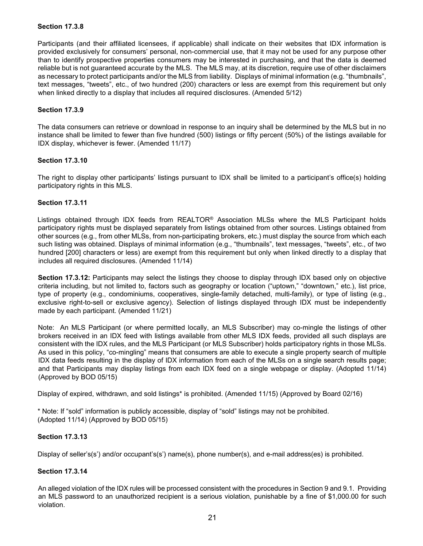# **Section 17.3.8**

Participants (and their affiliated licensees, if applicable) shall indicate on their websites that IDX information is provided exclusively for consumers' personal, non-commercial use, that it may not be used for any purpose other than to identify prospective properties consumers may be interested in purchasing, and that the data is deemed reliable but is not guaranteed accurate by the MLS. The MLS may, at its discretion, require use of other disclaimers as necessary to protect participants and/or the MLS from liability. Displays of minimal information (e.g. "thumbnails", text messages, "tweets", etc., of two hundred (200) characters or less are exempt from this requirement but only when linked directly to a display that includes all required disclosures. (Amended 5/12)

# **Section 17.3.9**

The data consumers can retrieve or download in response to an inquiry shall be determined by the MLS but in no instance shall be limited to fewer than five hundred (500) listings or fifty percent (50%) of the listings available for IDX display, whichever is fewer. (Amended 11/17)

#### **Section 17.3.10**

The right to display other participants' listings pursuant to IDX shall be limited to a participant's office(s) holding participatory rights in this MLS.

# **Section 17.3.11**

Listings obtained through IDX feeds from REALTOR® Association MLSs where the MLS Participant holds participatory rights must be displayed separately from listings obtained from other sources. Listings obtained from other sources (e.g., from other MLSs, from non-participating brokers, etc.) must display the source from which each such listing was obtained. Displays of minimal information (e.g., "thumbnails", text messages, "tweets", etc., of two hundred [200] characters or less) are exempt from this requirement but only when linked directly to a display that includes all required disclosures. (Amended 11/14)

**Section 17.3.12:** Participants may select the listings they choose to display through IDX based only on objective criteria including, but not limited to, factors such as geography or location ("uptown," "downtown," etc.), list price, type of property (e.g., condominiums, cooperatives, single-family detached, multi-family), or type of listing (e.g., exclusive right-to-sell or exclusive agency). Selection of listings displayed through IDX must be independently made by each participant. (Amended 11/21)

Note: An MLS Participant (or where permitted locally, an MLS Subscriber) may co-mingle the listings of other brokers received in an IDX feed with listings available from other MLS IDX feeds, provided all such displays are consistent with the IDX rules, and the MLS Participant (or MLS Subscriber) holds participatory rights in those MLSs. As used in this policy, "co-mingling" means that consumers are able to execute a single property search of multiple IDX data feeds resulting in the display of IDX information from each of the MLSs on a single search results page; and that Participants may display listings from each IDX feed on a single webpage or display. (Adopted 11/14) (Approved by BOD 05/15)

Display of expired, withdrawn, and sold listings\* is prohibited. (Amended 11/15) (Approved by Board 02/16)

\* Note: If "sold" information is publicly accessible, display of "sold" listings may not be prohibited. (Adopted 11/14) (Approved by BOD 05/15)

# **Section 17.3.13**

Display of seller's(s') and/or occupant's(s') name(s), phone number(s), and e-mail address(es) is prohibited.

# **Section 17.3.14**

An alleged violation of the IDX rules will be processed consistent with the procedures in Section 9 and 9.1. Providing an MLS password to an unauthorized recipient is a serious violation, punishable by a fine of \$1,000.00 for such violation.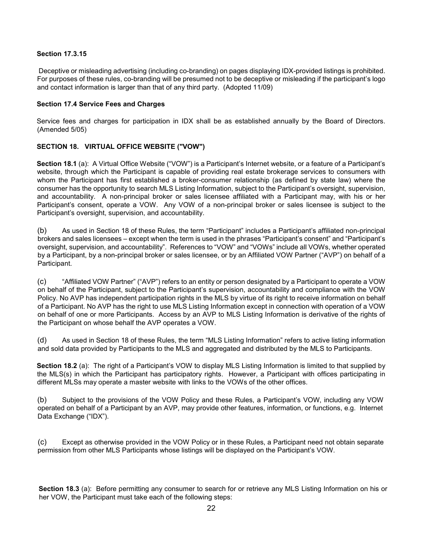# **Section 17.3.15**

Deceptive or misleading advertising (including co-branding) on pages displaying IDX-provided listings is prohibited. For purposes of these rules, co-branding will be presumed not to be deceptive or misleading if the participant's logo and contact information is larger than that of any third party. (Adopted 11/09)

# **Section 17.4 Service Fees and Charges**

Service fees and charges for participation in IDX shall be as established annually by the Board of Directors. (Amended 5/05)

# **SECTION 18. VIRTUAL OFFICE WEBSITE ("VOW")**

**Section 18.1** (a): A Virtual Office Website ("VOW") is a Participant's Internet website, or a feature of a Participant's website, through which the Participant is capable of providing real estate brokerage services to consumers with whom the Participant has first established a broker-consumer relationship (as defined by state law) where the consumer has the opportunity to search MLS Listing Information, subject to the Participant's oversight, supervision, and accountability. A non-principal broker or sales licensee affiliated with a Participant may, with his or her Participant's consent, operate a VOW. Any VOW of a non-principal broker or sales licensee is subject to the Participant's oversight, supervision, and accountability.

(b) As used in Section 18 of these Rules, the term "Participant" includes a Participant's affiliated non-principal brokers and sales licensees – except when the term is used in the phrases "Participant's consent" and "Participant's oversight, supervision, and accountability". References to "VOW" and "VOWs" include all VOWs, whether operated by a Participant, by a non-principal broker or sales licensee, or by an Affiliated VOW Partner ("AVP") on behalf of a Participant.

(c) "Affiliated VOW Partner" ("AVP") refers to an entity or person designated by a Participant to operate a VOW on behalf of the Participant, subject to the Participant's supervision, accountability and compliance with the VOW Policy. No AVP has independent participation rights in the MLS by virtue of its right to receive information on behalf of a Participant. No AVP has the right to use MLS Listing Information except in connection with operation of a VOW on behalf of one or more Participants. Access by an AVP to MLS Listing Information is derivative of the rights of the Participant on whose behalf the AVP operates a VOW.

(d) As used in Section 18 of these Rules, the term "MLS Listing Information" refers to active listing information and sold data provided by Participants to the MLS and aggregated and distributed by the MLS to Participants.

**Section 18.2** (a): The right of a Participant's VOW to display MLS Listing Information is limited to that supplied by the MLS(s) in which the Participant has participatory rights. However, a Participant with offices participating in different MLSs may operate a master website with links to the VOWs of the other offices.

(b) Subject to the provisions of the VOW Policy and these Rules, a Participant's VOW, including any VOW operated on behalf of a Participant by an AVP, may provide other features, information, or functions, e.g. Internet Data Exchange ("IDX").

(c) Except as otherwise provided in the VOW Policy or in these Rules, a Participant need not obtain separate permission from other MLS Participants whose listings will be displayed on the Participant's VOW.

**Section 18.3** (a): Before permitting any consumer to search for or retrieve any MLS Listing Information on his or her VOW, the Participant must take each of the following steps: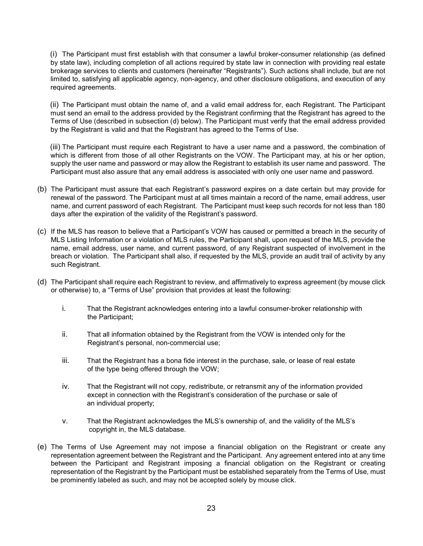(i) The Participant must first establish with that consumer a lawful broker-consumer relationship (as defined by state law), including completion of all actions required by state law in connection with providing real estate brokerage services to clients and customers (hereinafter "Registrants"). Such actions shall include, but are not limited to, satisfying all applicable agency, non-agency, and other disclosure obligations, and execution of any required agreements.

(ii) The Participant must obtain the name of, and a valid email address for, each Registrant. The Participant must send an email to the address provided by the Registrant confirming that the Registrant has agreed to the Terms of Use (described in subsection (d) below). The Participant must verify that the email address provided by the Registrant is valid and that the Registrant has agreed to the Terms of Use.

(iii) The Participant must require each Registrant to have a user name and a password, the combination of which is different from those of all other Registrants on the VOW. The Participant may, at his or her option, supply the user name and password or may allow the Registrant to establish its user name and password. The Participant must also assure that any email address is associated with only one user name and password.

- (b) The Participant must assure that each Registrant's password expires on a date certain but may provide for renewal of the password. The Participant must at all times maintain a record of the name, email address, user name, and current password of each Registrant. The Participant must keep such records for not less than 180 days after the expiration of the validity of the Registrant's password.
- (c) If the MLS has reason to believe that a Participant's VOW has caused or permitted a breach in the security of MLS Listing Information or a violation of MLS rules, the Participant shall, upon request of the MLS, provide the name, email address, user name, and current password, of any Registrant suspected of involvement in the breach or violation. The Participant shall also, if requested by the MLS, provide an audit trail of activity by any such Registrant.
- (d) The Participant shall require each Registrant to review, and affirmatively to express agreement (by mouse click or otherwise) to, a "Terms of Use" provision that provides at least the following:
	- i. That the Registrant acknowledges entering into a lawful consumer-broker relationship with the Participant;
	- ii. That all information obtained by the Registrant from the VOW is intended only for the Registrant's personal, non-commercial use;
	- iii. That the Registrant has a bona fide interest in the purchase, sale, or lease of real estate of the type being offered through the VOW;
	- iv. That the Registrant will not copy, redistribute, or retransmit any of the information provided except in connection with the Registrant's consideration of the purchase or sale of an individual property;
	- v. That the Registrant acknowledges the MLS's ownership of, and the validity of the MLS's copyright in, the MLS database.
- (e) The Terms of Use Agreement may not impose a financial obligation on the Registrant or create any representation agreement between the Registrant and the Participant. Any agreement entered into at any time between the Participant and Registrant imposing a financial obligation on the Registrant or creating representation of the Registrant by the Participant must be established separately from the Terms of Use, must be prominently labeled as such, and may not be accepted solely by mouse click.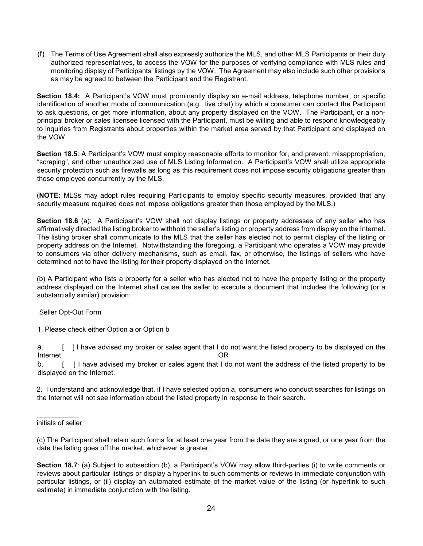(f) The Terms of Use Agreement shall also expressly authorize the MLS, and other MLS Participants or their duly authorized representatives, to access the VOW for the purposes of verifying compliance with MLS rules and monitoring display of Participants' listings by the VOW. The Agreement may also include such other provisions as may be agreed to between the Participant and the Registrant.

**Section 18.4:** A Participant's VOW must prominently display an e-mail address, telephone number, or specific identification of another mode of communication (e.g., live chat) by which a consumer can contact the Participant to ask questions, or get more information, about any property displayed on the VOW. The Participant, or a nonprincipal broker or sales licensee licensed with the Participant, must be willing and able to respond knowledgeably to inquiries from Registrants about properties within the market area served by that Participant and displayed on the VOW.

**Section 18.5**: A Participant's VOW must employ reasonable efforts to monitor for, and prevent, misappropriation, "scraping", and other unauthorized use of MLS Listing Information. A Participant's VOW shall utilize appropriate security protection such as firewalls as long as this requirement does not impose security obligations greater than those employed concurrently by the MLS.

(**NOTE:** MLSs may adopt rules requiring Participants to employ specific security measures, provided that any security measure required does not impose obligations greater than those employed by the MLS.)

**Section 18.6** (a): A Participant's VOW shall not display listings or property addresses of any seller who has affirmatively directed the listing broker to withhold the seller's listing or property address from display on the Internet. The listing broker shall communicate to the MLS that the seller has elected not to permit display of the listing or property address on the Internet. Notwithstanding the foregoing, a Participant who operates a VOW may provide to consumers via other delivery mechanisms, such as email, fax, or otherwise, the listings of sellers who have determined not to have the listing for their property displayed on the Internet.

(b) A Participant who lists a property for a seller who has elected not to have the property listing or the property address displayed on the Internet shall cause the seller to execute a document that includes the following (or a substantially similar) provision:

# Seller Opt-Out Form

1. Please check either Option a or Option b

a. [ ] I have advised my broker or sales agent that I do not want the listed property to be displayed on the Internet. OR

b. [ ] I have advised my broker or sales agent that I do not want the address of the listed property to be displayed on the Internet.

2. I understand and acknowledge that, if I have selected option a, consumers who conduct searches for listings on the Internet will not see information about the listed property in response to their search.

(c) The Participant shall retain such forms for at least one year from the date they are signed, or one year from the date the listing goes off the market, whichever is greater.

**Section 18.7**: (a) Subject to subsection (b), a Participant's VOW may allow third-parties (i) to write comments or reviews about particular listings or display a hyperlink to such comments or reviews in immediate conjunction with particular listings, or (ii) display an automated estimate of the market value of the listing (or hyperlink to such estimate) in immediate conjunction with the listing.

 $\overline{\phantom{a}}$ initials of seller